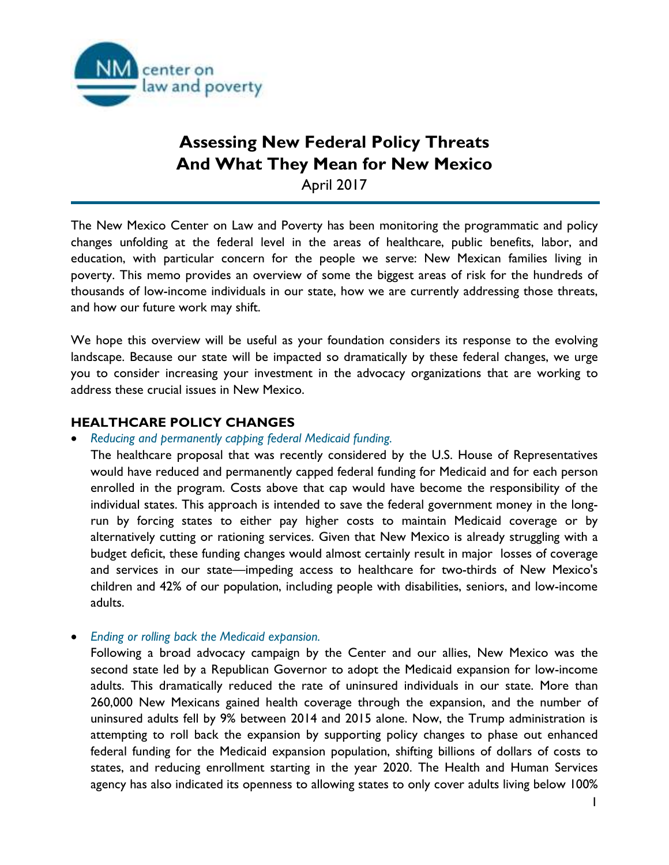

# **Assessing New Federal Policy Threats And What They Mean for New Mexico**  April 2017

The New Mexico Center on Law and Poverty has been monitoring the programmatic and policy changes unfolding at the federal level in the areas of healthcare, public benefits, labor, and education, with particular concern for the people we serve: New Mexican families living in poverty. This memo provides an overview of some the biggest areas of risk for the hundreds of thousands of low-income individuals in our state, how we are currently addressing those threats, and how our future work may shift.

We hope this overview will be useful as your foundation considers its response to the evolving landscape. Because our state will be impacted so dramatically by these federal changes, we urge you to consider increasing your investment in the advocacy organizations that are working to address these crucial issues in New Mexico.

# **HEALTHCARE POLICY CHANGES**

• *Reducing and permanently capping federal Medicaid funding.*

The healthcare proposal that was recently considered by the U.S. House of Representatives would have reduced and permanently capped federal funding for Medicaid and for each person enrolled in the program. Costs above that cap would have become the responsibility of the individual states. This approach is intended to save the federal government money in the longrun by forcing states to either pay higher costs to maintain Medicaid coverage or by alternatively cutting or rationing services. Given that New Mexico is already struggling with a budget deficit, these funding changes would almost certainly result in major losses of coverage and services in our state—impeding access to healthcare for two-thirds of New Mexico's children and 42% of our population, including people with disabilities, seniors, and low-income adults.

• *Ending or rolling back the Medicaid expansion.*

Following a broad advocacy campaign by the Center and our allies, New Mexico was the second state led by a Republican Governor to adopt the Medicaid expansion for low-income adults. This dramatically reduced the rate of uninsured individuals in our state. More than 260,000 New Mexicans gained health coverage through the expansion, and the number of uninsured adults fell by 9% between 2014 and 2015 alone. Now, the Trump administration is attempting to roll back the expansion by supporting policy changes to phase out enhanced federal funding for the Medicaid expansion population, shifting billions of dollars of costs to states, and reducing enrollment starting in the year 2020. The Health and Human Services agency has also indicated its openness to allowing states to only cover adults living below 100%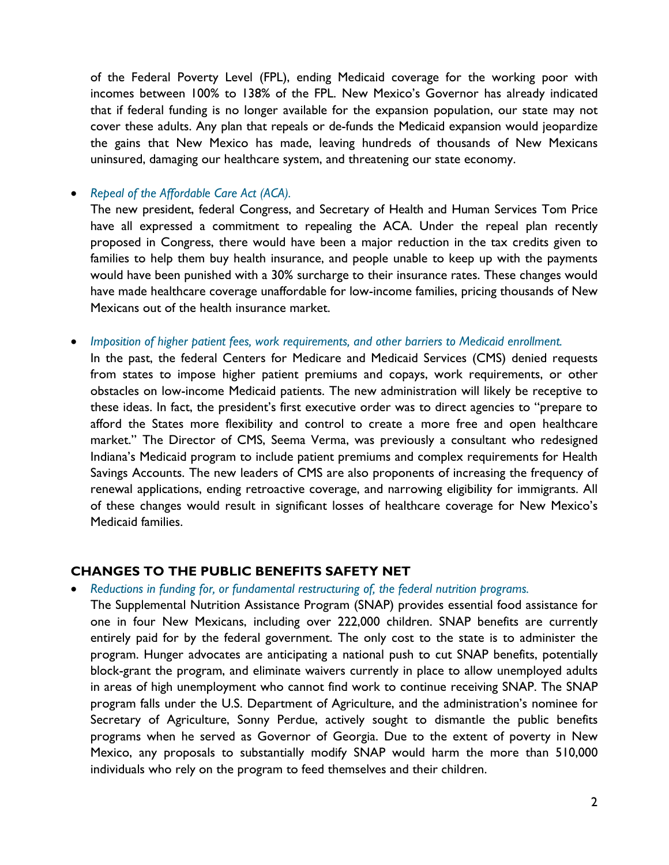of the Federal Poverty Level (FPL), ending Medicaid coverage for the working poor with incomes between 100% to 138% of the FPL. New Mexico's Governor has already indicated that if federal funding is no longer available for the expansion population, our state may not cover these adults. Any plan that repeals or de-funds the Medicaid expansion would jeopardize the gains that New Mexico has made, leaving hundreds of thousands of New Mexicans uninsured, damaging our healthcare system, and threatening our state economy.

• *Repeal of the Affordable Care Act (ACA).* 

The new president, federal Congress, and Secretary of Health and Human Services Tom Price have all expressed a commitment to repealing the ACA. Under the repeal plan recently proposed in Congress, there would have been a major reduction in the tax credits given to families to help them buy health insurance, and people unable to keep up with the payments would have been punished with a 30% surcharge to their insurance rates. These changes would have made healthcare coverage unaffordable for low-income families, pricing thousands of New Mexicans out of the health insurance market.

• *Imposition of higher patient fees, work requirements, and other barriers to Medicaid enrollment.*

In the past, the federal Centers for Medicare and Medicaid Services (CMS) denied requests from states to impose higher patient premiums and copays, work requirements, or other obstacles on low-income Medicaid patients. The new administration will likely be receptive to these ideas. In fact, the president's first executive order was to direct agencies to "prepare to afford the States more flexibility and control to create a more free and open healthcare market." The Director of CMS, Seema Verma, was previously a consultant who redesigned Indiana's Medicaid program to include patient premiums and complex requirements for Health Savings Accounts. The new leaders of CMS are also proponents of increasing the frequency of renewal applications, ending retroactive coverage, and narrowing eligibility for immigrants. All of these changes would result in significant losses of healthcare coverage for New Mexico's Medicaid families.

# **CHANGES TO THE PUBLIC BENEFITS SAFETY NET**

• *Reductions in funding for, or fundamental restructuring of, the federal nutrition programs.*

The Supplemental Nutrition Assistance Program (SNAP) provides essential food assistance for one in four New Mexicans, including over 222,000 children. SNAP benefits are currently entirely paid for by the federal government. The only cost to the state is to administer the program. Hunger advocates are anticipating a national push to cut SNAP benefits, potentially block-grant the program, and eliminate waivers currently in place to allow unemployed adults in areas of high unemployment who cannot find work to continue receiving SNAP. The SNAP program falls under the U.S. Department of Agriculture, and the administration's nominee for Secretary of Agriculture, Sonny Perdue, actively sought to dismantle the public benefits programs when he served as Governor of Georgia. Due to the extent of poverty in New Mexico, any proposals to substantially modify SNAP would harm the more than 510,000 individuals who rely on the program to feed themselves and their children.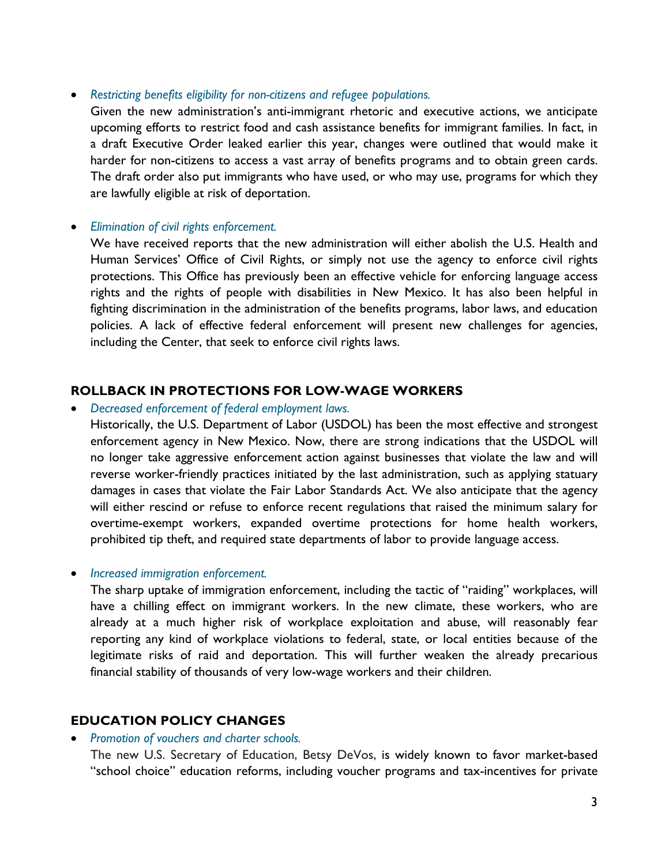#### • *Restricting benefits eligibility for non-citizens and refugee populations.*

Given the new administration's anti-immigrant rhetoric and executive actions, we anticipate upcoming efforts to restrict food and cash assistance benefits for immigrant families. In fact, in a draft Executive Order leaked earlier this year, changes were outlined that would make it harder for non-citizens to access a vast array of benefits programs and to obtain green cards. The draft order also put immigrants who have used, or who may use, programs for which they are lawfully eligible at risk of deportation.

## • *Elimination of civil rights enforcement.*

We have received reports that the new administration will either abolish the U.S. Health and Human Services' Office of Civil Rights, or simply not use the agency to enforce civil rights protections. This Office has previously been an effective vehicle for enforcing language access rights and the rights of people with disabilities in New Mexico. It has also been helpful in fighting discrimination in the administration of the benefits programs, labor laws, and education policies. A lack of effective federal enforcement will present new challenges for agencies, including the Center, that seek to enforce civil rights laws.

## **ROLLBACK IN PROTECTIONS FOR LOW-WAGE WORKERS**

#### • *Decreased enforcement of federal employment laws.*

Historically, the U.S. Department of Labor (USDOL) has been the most effective and strongest enforcement agency in New Mexico. Now, there are strong indications that the USDOL will no longer take aggressive enforcement action against businesses that violate the law and will reverse worker-friendly practices initiated by the last administration, such as applying statuary damages in cases that violate the Fair Labor Standards Act. We also anticipate that the agency will either rescind or refuse to enforce recent regulations that raised the minimum salary for overtime-exempt workers, expanded overtime protections for home health workers, prohibited tip theft, and required state departments of labor to provide language access.

## • *Increased immigration enforcement.*

The sharp uptake of immigration enforcement, including the tactic of "raiding" workplaces, will have a chilling effect on immigrant workers. In the new climate, these workers, who are already at a much higher risk of workplace exploitation and abuse, will reasonably fear reporting any kind of workplace violations to federal, state, or local entities because of the legitimate risks of raid and deportation. This will further weaken the already precarious financial stability of thousands of very low-wage workers and their children.

## **EDUCATION POLICY CHANGES**

#### • *Promotion of vouchers and charter schools.*

The new U.S. Secretary of Education, Betsy DeVos, is widely known to favor market-based "school choice" education reforms, including voucher programs and tax-incentives for private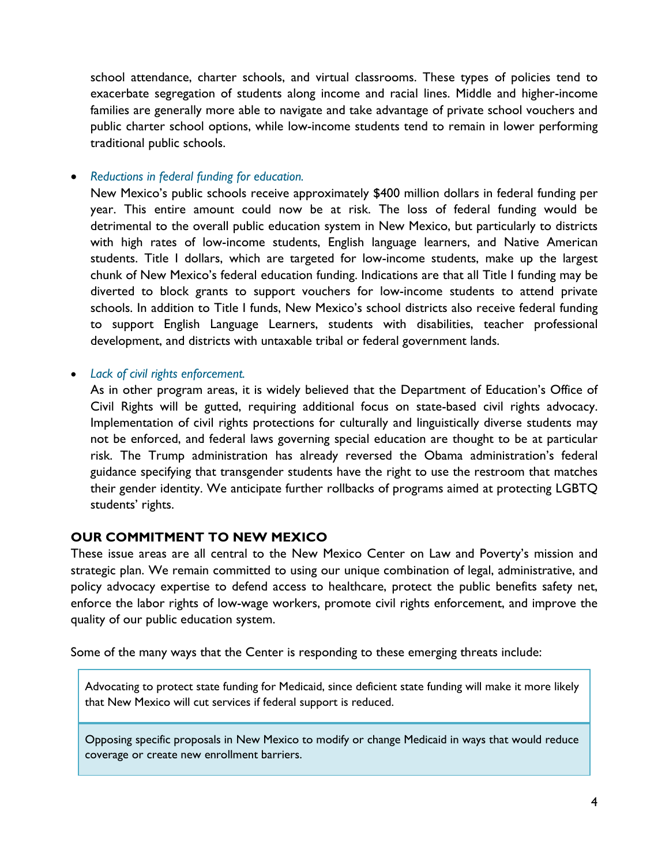school attendance, charter schools, and virtual classrooms. These types of policies tend to exacerbate segregation of students along income and racial lines. Middle and higher-income families are generally more able to navigate and take advantage of private school vouchers and public charter school options, while low-income students tend to remain in lower performing traditional public schools.

• *Reductions in federal funding for education.*

New Mexico's public schools receive approximately \$400 million dollars in federal funding per year. This entire amount could now be at risk. The loss of federal funding would be detrimental to the overall public education system in New Mexico, but particularly to districts with high rates of low-income students, English language learners, and Native American students. Title I dollars, which are targeted for low-income students, make up the largest chunk of New Mexico's federal education funding. Indications are that all Title I funding may be diverted to block grants to support vouchers for low-income students to attend private schools. In addition to Title I funds, New Mexico's school districts also receive federal funding to support English Language Learners, students with disabilities, teacher professional development, and districts with untaxable tribal or federal government lands.

• *Lack of civil rights enforcement.*

As in other program areas, it is widely believed that the Department of Education's Office of Civil Rights will be gutted, requiring additional focus on state-based civil rights advocacy. Implementation of civil rights protections for culturally and linguistically diverse students may not be enforced, and federal laws governing special education are thought to be at particular risk. The Trump administration has already reversed the Obama administration's federal guidance specifying that transgender students have the right to use the restroom that matches their gender identity. We anticipate further rollbacks of programs aimed at protecting LGBTQ students' rights.

# **OUR COMMITMENT TO NEW MEXICO**

These issue areas are all central to the New Mexico Center on Law and Poverty's mission and strategic plan. We remain committed to using our unique combination of legal, administrative, and policy advocacy expertise to defend access to healthcare, protect the public benefits safety net, enforce the labor rights of low-wage workers, promote civil rights enforcement, and improve the quality of our public education system.

Some of the many ways that the Center is responding to these emerging threats include:

Advocating to protect state funding for Medicaid, since deficient state funding will make it more likely that New Mexico will cut services if federal support is reduced.

Opposing specific proposals in New Mexico to modify or change Medicaid in ways that would reduce coverage or create new enrollment barriers.